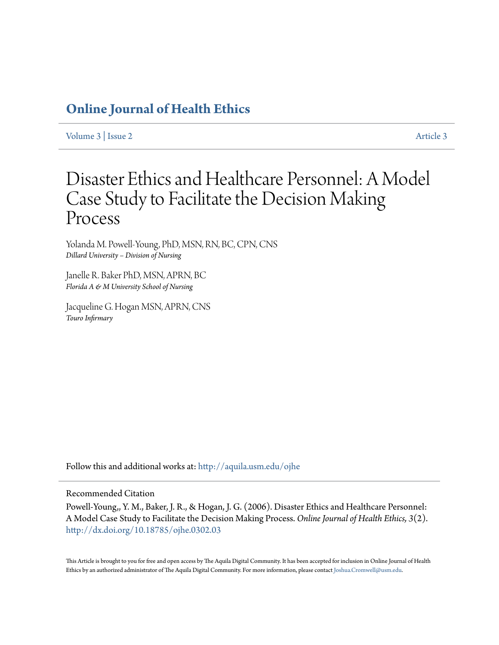# **[Online Journal of Health Ethics](http://aquila.usm.edu/ojhe?utm_source=aquila.usm.edu%2Fojhe%2Fvol3%2Fiss2%2F3&utm_medium=PDF&utm_campaign=PDFCoverPages)**

[Volume 3](http://aquila.usm.edu/ojhe/vol3?utm_source=aquila.usm.edu%2Fojhe%2Fvol3%2Fiss2%2F3&utm_medium=PDF&utm_campaign=PDFCoverPages) | [Issue 2](http://aquila.usm.edu/ojhe/vol3/iss2?utm_source=aquila.usm.edu%2Fojhe%2Fvol3%2Fiss2%2F3&utm_medium=PDF&utm_campaign=PDFCoverPages) [Article 3](http://aquila.usm.edu/ojhe/vol3/iss2/3?utm_source=aquila.usm.edu%2Fojhe%2Fvol3%2Fiss2%2F3&utm_medium=PDF&utm_campaign=PDFCoverPages)

# Disaster Ethics and Healthcare Personnel: A Model Case Study to Facilitate the Decision Making Process

Yolanda M. Powell-Young, PhD, MSN, RN, BC, CPN, CNS *Dillard University – Division of Nursing*

Janelle R. Baker PhD, MSN, APRN, BC *Florida A & M University School of Nursing*

Jacqueline G. Hogan MSN, APRN, CNS *Touro Infirmary*

Follow this and additional works at: [http://aquila.usm.edu/ojhe](http://aquila.usm.edu/ojhe?utm_source=aquila.usm.edu%2Fojhe%2Fvol3%2Fiss2%2F3&utm_medium=PDF&utm_campaign=PDFCoverPages)

# Recommended Citation

Powell-Young,, Y. M., Baker, J. R., & Hogan, J. G. (2006). Disaster Ethics and Healthcare Personnel: A Model Case Study to Facilitate the Decision Making Process. *Online Journal of Health Ethics, 3*(2). <http://dx.doi.org/10.18785/ojhe.0302.03>

This Article is brought to you for free and open access by The Aquila Digital Community. It has been accepted for inclusion in Online Journal of Health Ethics by an authorized administrator of The Aquila Digital Community. For more information, please contact [Joshua.Cromwell@usm.edu.](mailto:Joshua.Cromwell@usm.edu)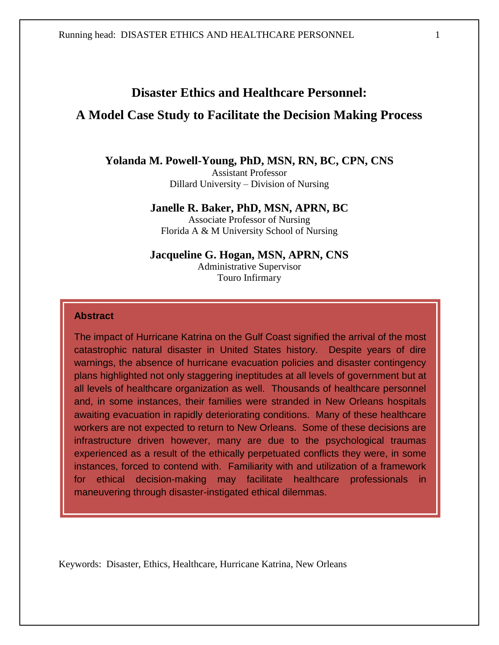Running head: DISASTER ETHICS AND HEALTHCARE PERSONNEL 1

# **Disaster Ethics and Healthcare Personnel:**

# **A Model Case Study to Facilitate the Decision Making Process**

# **Yolanda M. Powell-Young, PhD, MSN, RN, BC, CPN, CNS**

Assistant Professor Dillard University – Division of Nursing

#### **Janelle R. Baker, PhD, MSN, APRN, BC**

Associate Professor of Nursing Florida A & M University School of Nursing

### **Jacqueline G. Hogan, MSN, APRN, CNS**

Administrative Supervisor Touro Infirmary

#### **Abstract**

The impact of Hurricane Katrina on the Gulf Coast signified the arrival of the most catastrophic natural disaster in United States history. Despite years of dire warnings, the absence of hurricane evacuation policies and disaster contingency plans highlighted not only staggering ineptitudes at all levels of government but at all levels of healthcare organization as well. Thousands of healthcare personnel and, in some instances, their families were stranded in New Orleans hospitals awaiting evacuation in rapidly deteriorating conditions. Many of these healthcare workers are not expected to return to New Orleans. Some of these decisions are infrastructure driven however, many are due to the psychological traumas experienced as a result of the ethically perpetuated conflicts they were, in some instances, forced to contend with. Familiarity with and utilization of a framework for ethical decision-making may facilitate healthcare professionals in maneuvering through disaster-instigated ethical dilemmas.

Keywords: Disaster, Ethics, Healthcare, Hurricane Katrina, New Orleans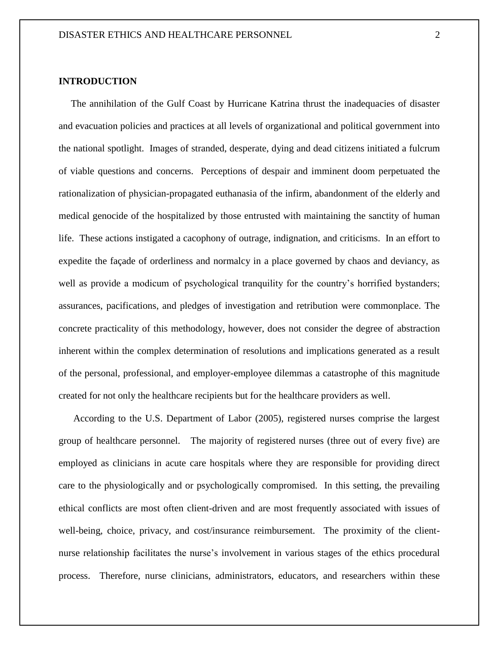# **INTRODUCTION**

 The annihilation of the Gulf Coast by Hurricane Katrina thrust the inadequacies of disaster and evacuation policies and practices at all levels of organizational and political government into the national spotlight. Images of stranded, desperate, dying and dead citizens initiated a fulcrum of viable questions and concerns. Perceptions of despair and imminent doom perpetuated the rationalization of physician-propagated euthanasia of the infirm, abandonment of the elderly and medical genocide of the hospitalized by those entrusted with maintaining the sanctity of human life. These actions instigated a cacophony of outrage, indignation, and criticisms. In an effort to expedite the façade of orderliness and normalcy in a place governed by chaos and deviancy, as well as provide a modicum of psychological tranquility for the country's horrified bystanders; assurances, pacifications, and pledges of investigation and retribution were commonplace. The concrete practicality of this methodology, however, does not consider the degree of abstraction inherent within the complex determination of resolutions and implications generated as a result of the personal, professional, and employer-employee dilemmas a catastrophe of this magnitude created for not only the healthcare recipients but for the healthcare providers as well.

 According to the U.S. Department of Labor (2005), registered nurses comprise the largest group of healthcare personnel. The majority of registered nurses (three out of every five) are employed as clinicians in acute care hospitals where they are responsible for providing direct care to the physiologically and or psychologically compromised. In this setting, the prevailing ethical conflicts are most often client-driven and are most frequently associated with issues of well-being, choice, privacy, and cost/insurance reimbursement. The proximity of the clientnurse relationship facilitates the nurse's involvement in various stages of the ethics procedural process. Therefore, nurse clinicians, administrators, educators, and researchers within these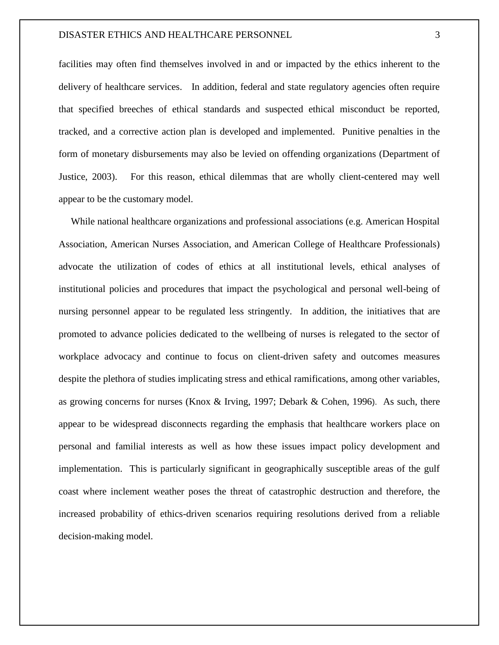#### DISASTER ETHICS AND HEALTHCARE PERSONNEL 3

facilities may often find themselves involved in and or impacted by the ethics inherent to the delivery of healthcare services. In addition, federal and state regulatory agencies often require that specified breeches of ethical standards and suspected ethical misconduct be reported, tracked, and a corrective action plan is developed and implemented. Punitive penalties in the form of monetary disbursements may also be levied on offending organizations (Department of Justice, 2003). For this reason, ethical dilemmas that are wholly client-centered may well appear to be the customary model.

 While national healthcare organizations and professional associations (e.g. American Hospital Association, American Nurses Association, and American College of Healthcare Professionals) advocate the utilization of codes of ethics at all institutional levels, ethical analyses of institutional policies and procedures that impact the psychological and personal well-being of nursing personnel appear to be regulated less stringently. In addition, the initiatives that are promoted to advance policies dedicated to the wellbeing of nurses is relegated to the sector of workplace advocacy and continue to focus on client-driven safety and outcomes measures despite the plethora of studies implicating stress and ethical ramifications, among other variables, as growing concerns for nurses (Knox & Irving, 1997; Debark & Cohen, 1996). As such, there appear to be widespread disconnects regarding the emphasis that healthcare workers place on personal and familial interests as well as how these issues impact policy development and implementation. This is particularly significant in geographically susceptible areas of the gulf coast where inclement weather poses the threat of catastrophic destruction and therefore, the increased probability of ethics-driven scenarios requiring resolutions derived from a reliable decision-making model.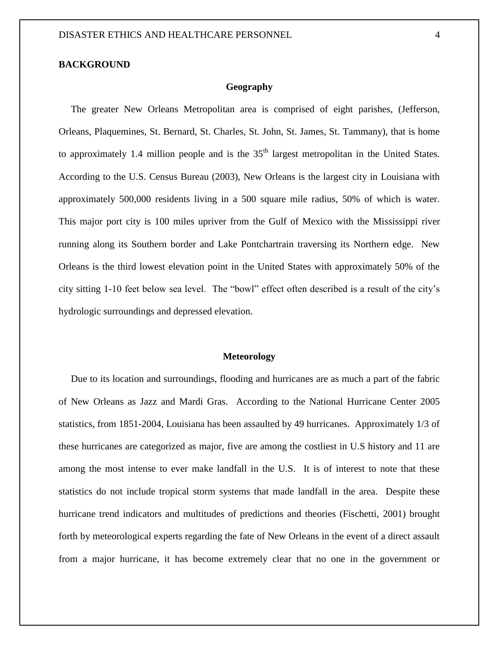#### **BACKGROUND**

#### **Geography**

 The greater New Orleans Metropolitan area is comprised of eight parishes, (Jefferson, Orleans, Plaquemines, St. Bernard, St. Charles, St. John, St. James, St. Tammany), that is home to approximately 1.4 million people and is the  $35<sup>th</sup>$  largest metropolitan in the United States. According to the U.S. Census Bureau (2003), New Orleans is the largest city in Louisiana with approximately 500,000 residents living in a 500 square mile radius, 50% of which is water. This major port city is 100 miles upriver from the Gulf of Mexico with the Mississippi river running along its Southern border and Lake Pontchartrain traversing its Northern edge. New Orleans is the third lowest elevation point in the United States with approximately 50% of the city sitting 1-10 feet below sea level. The "bowl" effect often described is a result of the city's hydrologic surroundings and depressed elevation.

#### **Meteorology**

 Due to its location and surroundings, flooding and hurricanes are as much a part of the fabric of New Orleans as Jazz and Mardi Gras. According to the National Hurricane Center 2005 statistics, from 1851-2004, Louisiana has been assaulted by 49 hurricanes. Approximately 1/3 of these hurricanes are categorized as major, five are among the costliest in U.S history and 11 are among the most intense to ever make landfall in the U.S. It is of interest to note that these statistics do not include tropical storm systems that made landfall in the area. Despite these hurricane trend indicators and multitudes of predictions and theories (Fischetti, 2001) brought forth by meteorological experts regarding the fate of New Orleans in the event of a direct assault from a major hurricane, it has become extremely clear that no one in the government or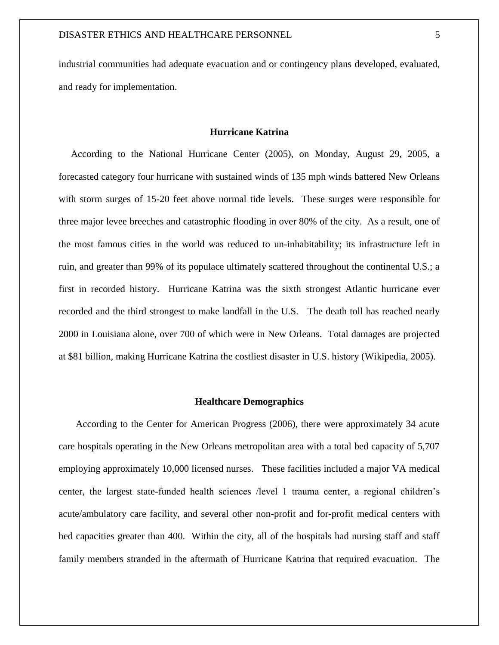industrial communities had adequate evacuation and or contingency plans developed, evaluated, and ready for implementation.

#### **Hurricane Katrina**

 According to the National Hurricane Center (2005), on Monday, August 29, 2005, a forecasted category four hurricane with sustained winds of 135 mph winds battered New Orleans with storm surges of 15-20 feet above normal tide levels. These surges were responsible for three major levee breeches and catastrophic flooding in over 80% of the city. As a result, one of the most famous cities in the world was reduced to un-inhabitability; its infrastructure left in ruin, and greater than 99% of its populace ultimately scattered throughout the continental U.S.; a first in recorded history. Hurricane Katrina was the sixth strongest Atlantic hurricane ever recorded and the third strongest to make landfall in the U.S. The death toll has reached nearly 2000 in Louisiana alone, over 700 of which were in New Orleans. Total damages are projected at \$81 billion, making Hurricane Katrina the costliest disaster in U.S. history (Wikipedia, 2005).

#### **Healthcare Demographics**

 According to the Center for American Progress (2006), there were approximately 34 acute care hospitals operating in the New Orleans metropolitan area with a total bed capacity of 5,707 employing approximately 10,000 licensed nurses. These facilities included a major VA medical center, the largest state-funded health sciences /level 1 trauma center, a regional children's acute/ambulatory care facility, and several other non-profit and for-profit medical centers with bed capacities greater than 400. Within the city, all of the hospitals had nursing staff and staff family members stranded in the aftermath of Hurricane Katrina that required evacuation. The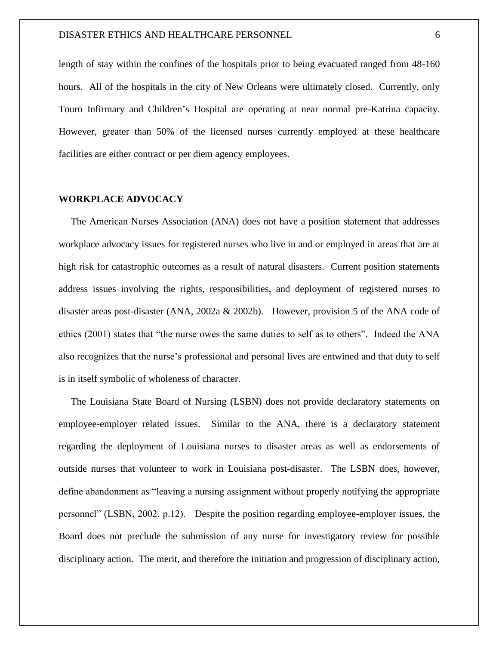length of stay within the confines of the hospitals prior to being evacuated ranged from 48-160 hours. All of the hospitals in the city of New Orleans were ultimately closed. Currently, only Touro Infirmary and Children's Hospital are operating at near normal pre-Katrina capacity. However, greater than 50% of the licensed nurses currently employed at these healthcare facilities are either contract or per diem agency employees.

#### **WORKPLACE ADVOCACY**

 The American Nurses Association (ANA) does not have a position statement that addresses workplace advocacy issues for registered nurses who live in and or employed in areas that are at high risk for catastrophic outcomes as a result of natural disasters. Current position statements address issues involving the rights, responsibilities, and deployment of registered nurses to disaster areas post-disaster (ANA, 2002a & 2002b). However, provision 5 of the ANA code of ethics (2001) states that "the nurse owes the same duties to self as to others". Indeed the ANA also recognizes that the nurse's professional and personal lives are entwined and that duty to self is in itself symbolic of wholeness of character.

 The Louisiana State Board of Nursing (LSBN) does not provide declaratory statements on employee-employer related issues. Similar to the ANA, there is a declaratory statement regarding the deployment of Louisiana nurses to disaster areas as well as endorsements of outside nurses that volunteer to work in Louisiana post-disaster. The LSBN does, however, define abandonment as "leaving a nursing assignment without properly notifying the appropriate personnel" (LSBN, 2002, p.12). Despite the position regarding employee-employer issues, the Board does not preclude the submission of any nurse for investigatory review for possible disciplinary action. The merit, and therefore the initiation and progression of disciplinary action,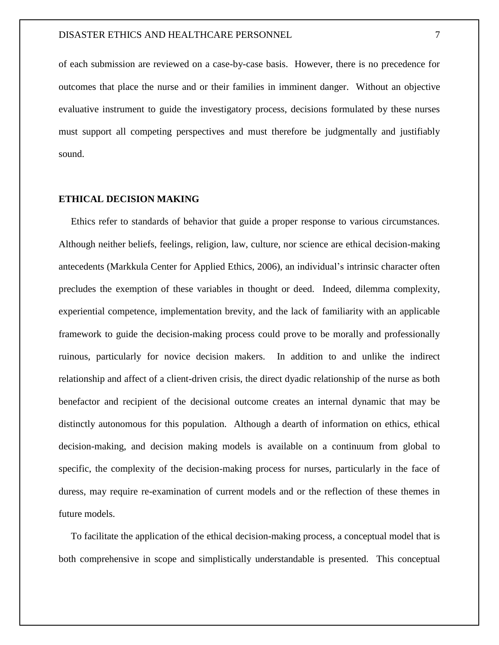of each submission are reviewed on a case-by-case basis. However, there is no precedence for outcomes that place the nurse and or their families in imminent danger. Without an objective evaluative instrument to guide the investigatory process, decisions formulated by these nurses must support all competing perspectives and must therefore be judgmentally and justifiably sound.

#### **ETHICAL DECISION MAKING**

 Ethics refer to standards of behavior that guide a proper response to various circumstances. Although neither beliefs, feelings, religion, law, culture, nor science are ethical decision-making antecedents (Markkula Center for Applied Ethics, 2006), an individual's intrinsic character often precludes the exemption of these variables in thought or deed. Indeed, dilemma complexity, experiential competence, implementation brevity, and the lack of familiarity with an applicable framework to guide the decision-making process could prove to be morally and professionally ruinous, particularly for novice decision makers. In addition to and unlike the indirect relationship and affect of a client-driven crisis, the direct dyadic relationship of the nurse as both benefactor and recipient of the decisional outcome creates an internal dynamic that may be distinctly autonomous for this population. Although a dearth of information on ethics, ethical decision-making, and decision making models is available on a continuum from global to specific, the complexity of the decision-making process for nurses, particularly in the face of duress, may require re-examination of current models and or the reflection of these themes in future models.

 To facilitate the application of the ethical decision-making process, a conceptual model that is both comprehensive in scope and simplistically understandable is presented. This conceptual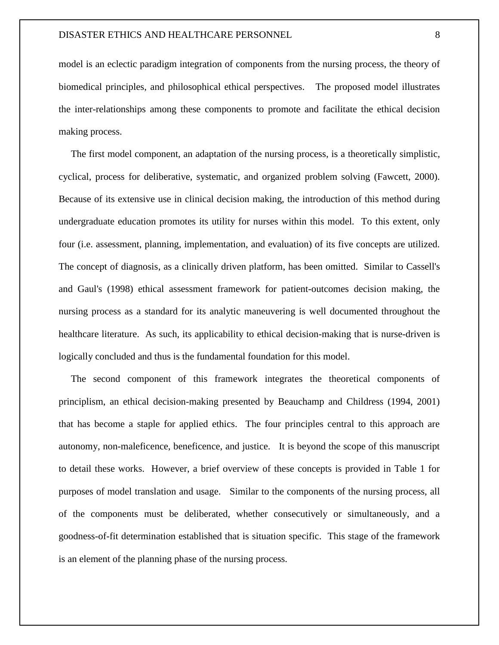model is an eclectic paradigm integration of components from the nursing process, the theory of biomedical principles, and philosophical ethical perspectives. The proposed model illustrates the inter-relationships among these components to promote and facilitate the ethical decision making process.

 The first model component, an adaptation of the nursing process, is a theoretically simplistic, cyclical, process for deliberative, systematic, and organized problem solving (Fawcett, 2000). Because of its extensive use in clinical decision making, the introduction of this method during undergraduate education promotes its utility for nurses within this model. To this extent, only four (i.e. assessment, planning, implementation, and evaluation) of its five concepts are utilized. The concept of diagnosis, as a clinically driven platform, has been omitted. Similar to Cassell's and Gaul's (1998) ethical assessment framework for patient-outcomes decision making, the nursing process as a standard for its analytic maneuvering is well documented throughout the healthcare literature. As such, its applicability to ethical decision-making that is nurse-driven is logically concluded and thus is the fundamental foundation for this model.

 The second component of this framework integrates the theoretical components of principlism, an ethical decision-making presented by Beauchamp and Childress (1994, 2001) that has become a staple for applied ethics. The four principles central to this approach are autonomy, non-maleficence, beneficence, and justice. It is beyond the scope of this manuscript to detail these works. However, a brief overview of these concepts is provided in Table 1 for purposes of model translation and usage. Similar to the components of the nursing process, all of the components must be deliberated, whether consecutively or simultaneously, and a goodness-of-fit determination established that is situation specific. This stage of the framework is an element of the planning phase of the nursing process.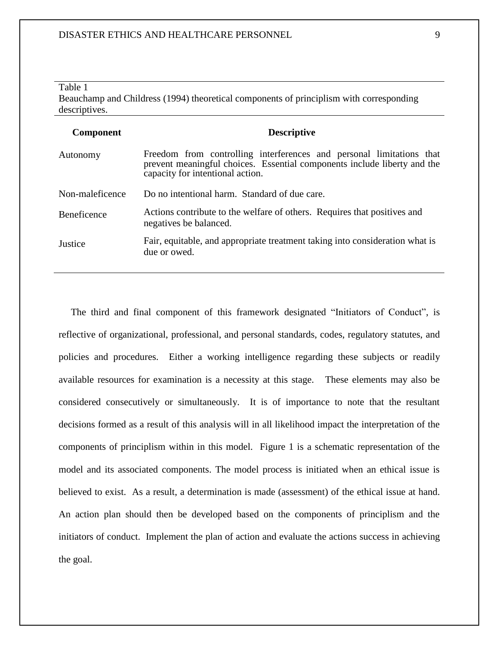#### Table 1 Beauchamp and Childress (1994) theoretical components of principlism with corresponding descriptives.

| <b>Component</b> | <b>Descriptive</b>                                                                                                                                                                   |
|------------------|--------------------------------------------------------------------------------------------------------------------------------------------------------------------------------------|
| Autonomy         | Freedom from controlling interferences and personal limitations that<br>prevent meaningful choices. Essential components include liberty and the<br>capacity for intentional action. |
| Non-maleficence  | Do no intentional harm. Standard of due care.                                                                                                                                        |
| Beneficence      | Actions contribute to the welfare of others. Requires that positives and<br>negatives be balanced.                                                                                   |
| Justice          | Fair, equitable, and appropriate treatment taking into consideration what is<br>due or owed.                                                                                         |

 The third and final component of this framework designated "Initiators of Conduct", is reflective of organizational, professional, and personal standards, codes, regulatory statutes, and policies and procedures. Either a working intelligence regarding these subjects or readily available resources for examination is a necessity at this stage. These elements may also be considered consecutively or simultaneously. It is of importance to note that the resultant decisions formed as a result of this analysis will in all likelihood impact the interpretation of the components of principlism within in this model. Figure 1 is a schematic representation of the model and its associated components. The model process is initiated when an ethical issue is believed to exist. As a result, a determination is made (assessment) of the ethical issue at hand. An action plan should then be developed based on the components of principlism and the initiators of conduct. Implement the plan of action and evaluate the actions success in achieving the goal.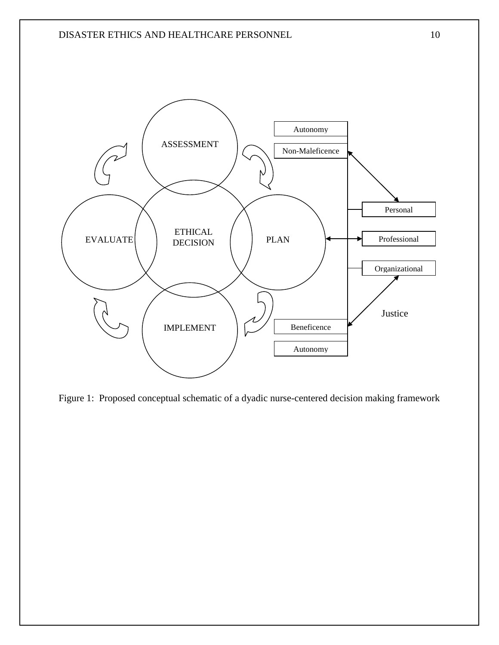

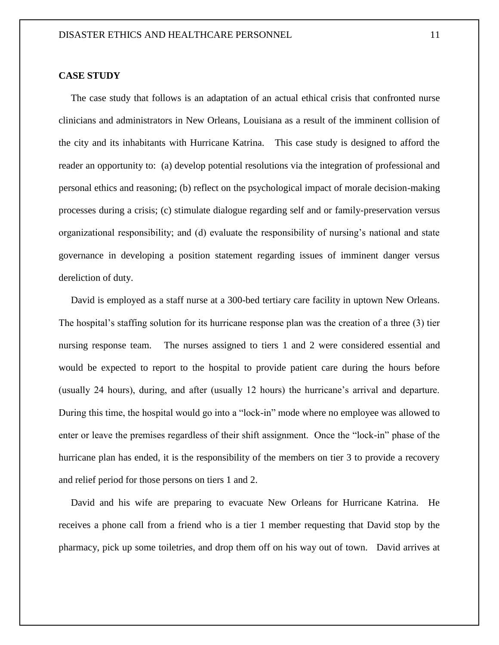#### **CASE STUDY**

 The case study that follows is an adaptation of an actual ethical crisis that confronted nurse clinicians and administrators in New Orleans, Louisiana as a result of the imminent collision of the city and its inhabitants with Hurricane Katrina. This case study is designed to afford the reader an opportunity to: (a) develop potential resolutions via the integration of professional and personal ethics and reasoning; (b) reflect on the psychological impact of morale decision-making processes during a crisis; (c) stimulate dialogue regarding self and or family-preservation versus organizational responsibility; and (d) evaluate the responsibility of nursing's national and state governance in developing a position statement regarding issues of imminent danger versus dereliction of duty.

 David is employed as a staff nurse at a 300-bed tertiary care facility in uptown New Orleans. The hospital's staffing solution for its hurricane response plan was the creation of a three (3) tier nursing response team. The nurses assigned to tiers 1 and 2 were considered essential and would be expected to report to the hospital to provide patient care during the hours before (usually 24 hours), during, and after (usually 12 hours) the hurricane's arrival and departure. During this time, the hospital would go into a "lock-in" mode where no employee was allowed to enter or leave the premises regardless of their shift assignment. Once the "lock-in" phase of the hurricane plan has ended, it is the responsibility of the members on tier 3 to provide a recovery and relief period for those persons on tiers 1 and 2.

 David and his wife are preparing to evacuate New Orleans for Hurricane Katrina. He receives a phone call from a friend who is a tier 1 member requesting that David stop by the pharmacy, pick up some toiletries, and drop them off on his way out of town. David arrives at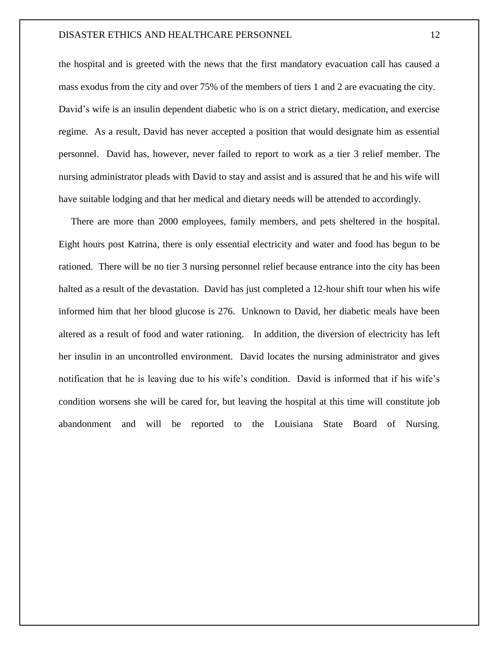#### DISASTER ETHICS AND HEALTHCARE PERSONNEL 12

the hospital and is greeted with the news that the first mandatory evacuation call has caused a mass exodus from the city and over 75% of the members of tiers 1 and 2 are evacuating the city. David's wife is an insulin dependent diabetic who is on a strict dietary, medication, and exercise regime. As a result, David has never accepted a position that would designate him as essential personnel. David has, however, never failed to report to work as a tier 3 relief member. The nursing administrator pleads with David to stay and assist and is assured that he and his wife will have suitable lodging and that her medical and dietary needs will be attended to accordingly.

 There are more than 2000 employees, family members, and pets sheltered in the hospital. Eight hours post Katrina, there is only essential electricity and water and food has begun to be rationed. There will be no tier 3 nursing personnel relief because entrance into the city has been halted as a result of the devastation. David has just completed a 12-hour shift tour when his wife informed him that her blood glucose is 276. Unknown to David, her diabetic meals have been altered as a result of food and water rationing. In addition, the diversion of electricity has left her insulin in an uncontrolled environment. David locates the nursing administrator and gives notification that he is leaving due to his wife's condition. David is informed that if his wife's condition worsens she will be cared for, but leaving the hospital at this time will constitute job abandonment and will be reported to the Louisiana State Board of Nursing.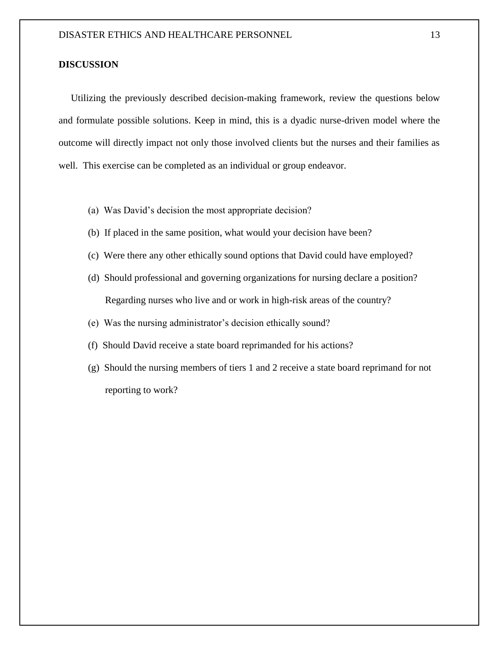#### **DISCUSSION**

 Utilizing the previously described decision-making framework, review the questions below and formulate possible solutions. Keep in mind, this is a dyadic nurse-driven model where the outcome will directly impact not only those involved clients but the nurses and their families as well. This exercise can be completed as an individual or group endeavor.

- (a) Was David's decision the most appropriate decision?
- (b) If placed in the same position, what would your decision have been?
- (c) Were there any other ethically sound options that David could have employed?
- (d) Should professional and governing organizations for nursing declare a position? Regarding nurses who live and or work in high-risk areas of the country?
- (e) Was the nursing administrator's decision ethically sound?
- (f) Should David receive a state board reprimanded for his actions?
- (g) Should the nursing members of tiers 1 and 2 receive a state board reprimand for not reporting to work?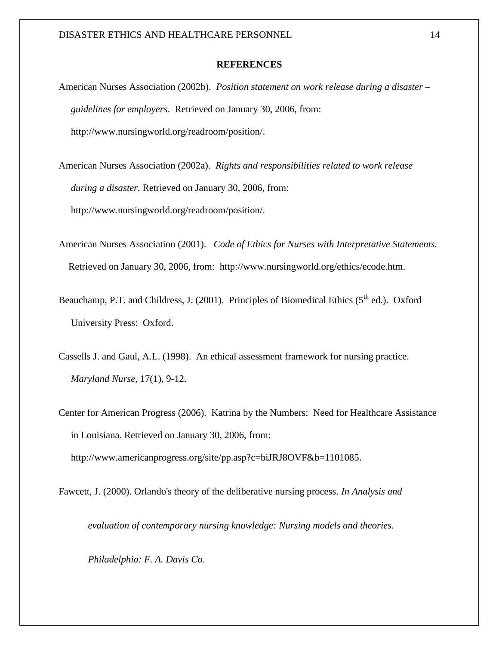#### **REFERENCES**

- American Nurses Association (2002b). *Position statement on work release during a disaster – guidelines for employers*. Retrieved on January 30, 2006, from: http://www.nursingworld.org/readroom/position/.
- American Nurses Association (2002a). *Rights and responsibilities related to work release during a disaster.* Retrieved on January 30, 2006, from: http://www.nursingworld.org/readroom/position/.
- American Nurses Association (2001). *Code of Ethics for Nurses with Interpretative Statements.* Retrieved on January 30, 2006, from: [http://www.nursingworld.org/ethics/ecode.htm.](http://www.nursingworld.org/ethics/ecode.htm)
- Beauchamp, P.T. and Childress, J. (2001). Principles of Biomedical Ethics  $(5<sup>th</sup>$  ed.). Oxford University Press: Oxford.
- Cassells J. and Gaul, A.L. (1998). An ethical assessment framework for nursing practice. *Maryland Nurse*, 17(1), 9-12.
- Center for American Progress (2006). Katrina by the Numbers: Need for Healthcare Assistance in Louisiana. Retrieved on January 30, 2006, from:

[http://www.americanprogress.org/site/pp.asp?c=biJRJ8OVF&b=1101085.](http://www.americanprogress.org/site/pp.asp?c=biJRJ8OVF&b=1101085)

Fawcett, J. (2000). Orlando's theory of the deliberative nursing process. *In Analysis and* 

*evaluation of contemporary nursing knowledge: Nursing models and theories.* 

*Philadelphia: F. A. Davis Co.*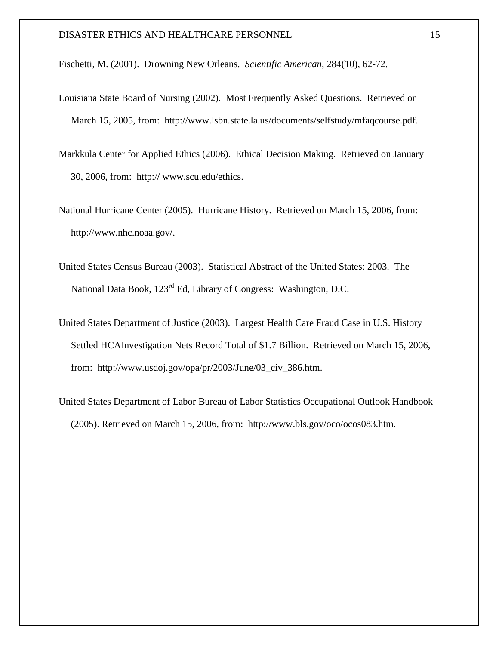Fischetti, M. (2001). Drowning New Orleans. *Scientific American*, 284(10), 62-72.

- Louisiana State Board of Nursing (2002). Most Frequently Asked Questions. Retrieved on March 15, 2005, from: http://www.lsbn.state.la.us/documents/selfstudy/mfaqcourse.pdf.
- Markkula Center for Applied Ethics (2006). Ethical Decision Making. Retrieved on January 30, 2006, from: http:// www.scu.edu/ethics.
- National Hurricane Center (2005). Hurricane History. Retrieved on March 15, 2006, from: [http://www.nhc.noaa.gov/.](http://www.nhc.noaa.gov/)
- United States Census Bureau (2003). Statistical Abstract of the United States: 2003. The National Data Book, 123<sup>rd</sup> Ed, Library of Congress: Washington, D.C.
- United States Department of Justice (2003). Largest Health Care Fraud Case in U.S. History Settled HCAInvestigation Nets Record Total of \$1.7 Billion. Retrieved on March 15, 2006, from: [http://www.usdoj.gov/opa/pr/2003/June/03\\_civ\\_386.htm.](http://www.usdoj.gov/opa/pr/2003/June/03_civ_386.htm)
- United States Department of Labor Bureau of Labor Statistics Occupational Outlook Handbook (2005). Retrieved on March 15, 2006, from: [http://www.bls.gov/oco/ocos083.htm.](http://www.bls.gov/oco/ocos083.htm)